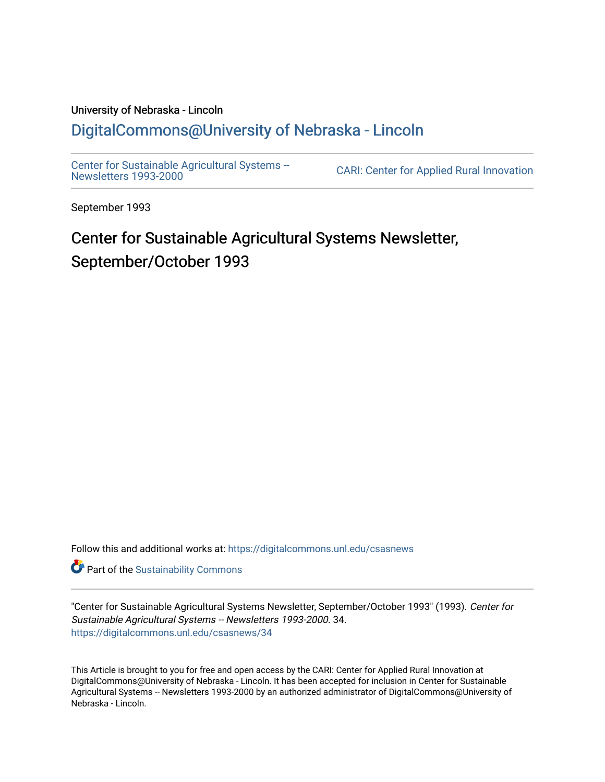# University of Nebraska - Lincoln [DigitalCommons@University of Nebraska - Lincoln](https://digitalcommons.unl.edu/)

[Center for Sustainable Agricultural Systems --](https://digitalcommons.unl.edu/csasnews)<br>Newsletters 1993-2000

CARI: Center for Applied Rural Innovation

September 1993

# Center for Sustainable Agricultural Systems Newsletter, September/October 1993

Follow this and additional works at: [https://digitalcommons.unl.edu/csasnews](https://digitalcommons.unl.edu/csasnews?utm_source=digitalcommons.unl.edu%2Fcsasnews%2F34&utm_medium=PDF&utm_campaign=PDFCoverPages) 

**Part of the [Sustainability Commons](http://network.bepress.com/hgg/discipline/1031?utm_source=digitalcommons.unl.edu%2Fcsasnews%2F34&utm_medium=PDF&utm_campaign=PDFCoverPages)** 

"Center for Sustainable Agricultural Systems Newsletter, September/October 1993" (1993). Center for Sustainable Agricultural Systems -- Newsletters 1993-2000. 34. [https://digitalcommons.unl.edu/csasnews/34](https://digitalcommons.unl.edu/csasnews/34?utm_source=digitalcommons.unl.edu%2Fcsasnews%2F34&utm_medium=PDF&utm_campaign=PDFCoverPages) 

This Article is brought to you for free and open access by the CARI: Center for Applied Rural Innovation at DigitalCommons@University of Nebraska - Lincoln. It has been accepted for inclusion in Center for Sustainable Agricultural Systems -- Newsletters 1993-2000 by an authorized administrator of DigitalCommons@University of Nebraska - Lincoln.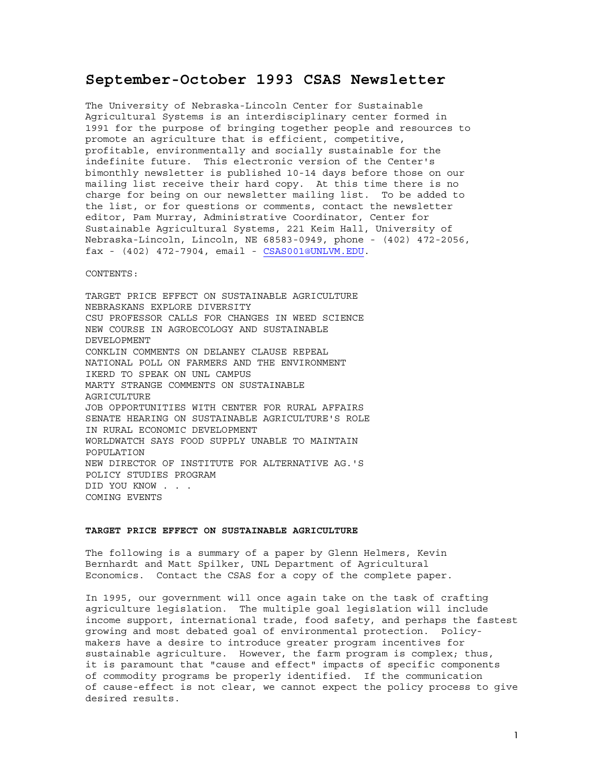# **September-October 1993 CSAS Newsletter**

The University of Nebraska-Lincoln Center for Sustainable Agricultural Systems is an interdisciplinary center formed in 1991 for the purpose of bringing together people and resources to promote an agriculture that is efficient, competitive, profitable, environmentally and socially sustainable for the indefinite future. This electronic version of the Center's bimonthly newsletter is published 10-14 days before those on our mailing list receive their hard copy. At this time there is no charge for being on our newsletter mailing list. To be added to the list, or for questions or comments, contact the newsletter editor, Pam Murray, Administrative Coordinator, Center for Sustainable Agricultural Systems, 221 Keim Hall, University of Nebraska-Lincoln, Lincoln, NE 68583-0949, phone - (402) 472-2056, fax - (402) 472-7904, email - CSAS001@UNLVM.EDU.

CONTENTS:

TARGET PRICE EFFECT ON SUSTAINABLE AGRICULTURE NEBRASKANS EXPLORE DIVERSITY CSU PROFESSOR CALLS FOR CHANGES IN WEED SCIENCE NEW COURSE IN AGROECOLOGY AND SUSTAINABLE DEVELOPMENT CONKLIN COMMENTS ON DELANEY CLAUSE REPEAL NATIONAL POLL ON FARMERS AND THE ENVIRONMENT IKERD TO SPEAK ON UNL CAMPUS MARTY STRANGE COMMENTS ON SUSTAINABLE AGRICULTURE JOB OPPORTUNITIES WITH CENTER FOR RURAL AFFAIRS SENATE HEARING ON SUSTAINABLE AGRICULTURE'S ROLE IN RURAL ECONOMIC DEVELOPMENT WORLDWATCH SAYS FOOD SUPPLY UNABLE TO MAINTAIN POPULATION NEW DIRECTOR OF INSTITUTE FOR ALTERNATIVE AG.'S POLICY STUDIES PROGRAM DID YOU KNOW . . . COMING EVENTS

## **TARGET PRICE EFFECT ON SUSTAINABLE AGRICULTURE**

The following is a summary of a paper by Glenn Helmers, Kevin Bernhardt and Matt Spilker, UNL Department of Agricultural Economics. Contact the CSAS for a copy of the complete paper.

In 1995, our government will once again take on the task of crafting agriculture legislation. The multiple goal legislation will include income support, international trade, food safety, and perhaps the fastest growing and most debated goal of environmental protection. Policymakers have a desire to introduce greater program incentives for sustainable agriculture. However, the farm program is complex; thus, it is paramount that "cause and effect" impacts of specific components of commodity programs be properly identified. If the communication of cause-effect is not clear, we cannot expect the policy process to give desired results.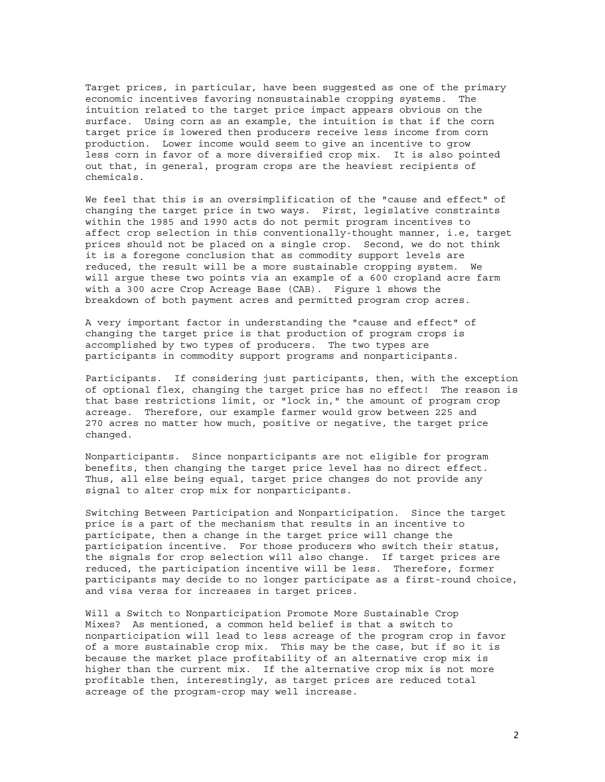Target prices, in particular, have been suggested as one of the primary economic incentives favoring nonsustainable cropping systems. The intuition related to the target price impact appears obvious on the surface. Using corn as an example, the intuition is that if the corn target price is lowered then producers receive less income from corn production. Lower income would seem to give an incentive to grow less corn in favor of a more diversified crop mix. It is also pointed out that, in general, program crops are the heaviest recipients of chemicals.

We feel that this is an oversimplification of the "cause and effect" of changing the target price in two ways. First, legislative constraints within the 1985 and 1990 acts do not permit program incentives to affect crop selection in this conventionally-thought manner, i.e, target prices should not be placed on a single crop. Second, we do not think it is a foregone conclusion that as commodity support levels are reduced, the result will be a more sustainable cropping system. We will argue these two points via an example of a 600 cropland acre farm with a 300 acre Crop Acreage Base (CAB). Figure 1 shows the breakdown of both payment acres and permitted program crop acres.

A very important factor in understanding the "cause and effect" of changing the target price is that production of program crops is accomplished by two types of producers. The two types are participants in commodity support programs and nonparticipants.

Participants. If considering just participants, then, with the exception of optional flex, changing the target price has no effect! The reason is that base restrictions limit, or "lock in," the amount of program crop acreage. Therefore, our example farmer would grow between 225 and 270 acres no matter how much, positive or negative, the target price changed.

Nonparticipants. Since nonparticipants are not eligible for program benefits, then changing the target price level has no direct effect. Thus, all else being equal, target price changes do not provide any signal to alter crop mix for nonparticipants.

Switching Between Participation and Nonparticipation. Since the target price is a part of the mechanism that results in an incentive to participate, then a change in the target price will change the participation incentive. For those producers who switch their status, the signals for crop selection will also change. If target prices are reduced, the participation incentive will be less. Therefore, former participants may decide to no longer participate as a first-round choice, and visa versa for increases in target prices.

Will a Switch to Nonparticipation Promote More Sustainable Crop Mixes? As mentioned, a common held belief is that a switch to nonparticipation will lead to less acreage of the program crop in favor of a more sustainable crop mix. This may be the case, but if so it is because the market place profitability of an alternative crop mix is higher than the current mix. If the alternative crop mix is not more profitable then, interestingly, as target prices are reduced total acreage of the program-crop may well increase.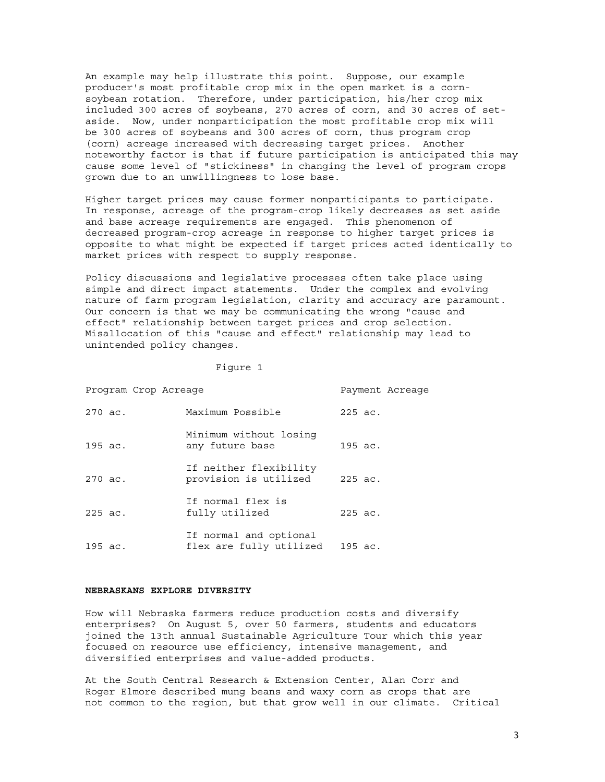An example may help illustrate this point. Suppose, our example producer's most profitable crop mix in the open market is a cornsoybean rotation. Therefore, under participation, his/her crop mix included 300 acres of soybeans, 270 acres of corn, and 30 acres of setaside. Now, under nonparticipation the most profitable crop mix will be 300 acres of soybeans and 300 acres of corn, thus program crop (corn) acreage increased with decreasing target prices. Another noteworthy factor is that if future participation is anticipated this may cause some level of "stickiness" in changing the level of program crops grown due to an unwillingness to lose base.

Higher target prices may cause former nonparticipants to participate. In response, acreage of the program-crop likely decreases as set aside and base acreage requirements are engaged. This phenomenon of decreased program-crop acreage in response to higher target prices is opposite to what might be expected if target prices acted identically to market prices with respect to supply response.

Policy discussions and legislative processes often take place using simple and direct impact statements. Under the complex and evolving nature of farm program legislation, clarity and accuracy are paramount. Our concern is that we may be communicating the wrong "cause and effect" relationship between target prices and crop selection. Misallocation of this "cause and effect" relationship may lead to unintended policy changes.

#### Figure 1

| Program Crop Acreage |                                                   |           | Payment Acreage |
|----------------------|---------------------------------------------------|-----------|-----------------|
| 270 ac.              | Maximum Possible                                  | $225$ ac. |                 |
| 195 ac.              | Minimum without losing<br>any future base         | 195 ac.   |                 |
| 270 ac.              | If neither flexibility<br>provision is utilized   | 225 ac.   |                 |
| 225 ac.              | If normal flex is<br>fully utilized               | 225 ac.   |                 |
| 195 ac.              | If normal and optional<br>flex are fully utilized | 195 ac.   |                 |

#### **NEBRASKANS EXPLORE DIVERSITY**

How will Nebraska farmers reduce production costs and diversify enterprises? On August 5, over 50 farmers, students and educators joined the 13th annual Sustainable Agriculture Tour which this year focused on resource use efficiency, intensive management, and diversified enterprises and value-added products.

At the South Central Research & Extension Center, Alan Corr and Roger Elmore described mung beans and waxy corn as crops that are not common to the region, but that grow well in our climate. Critical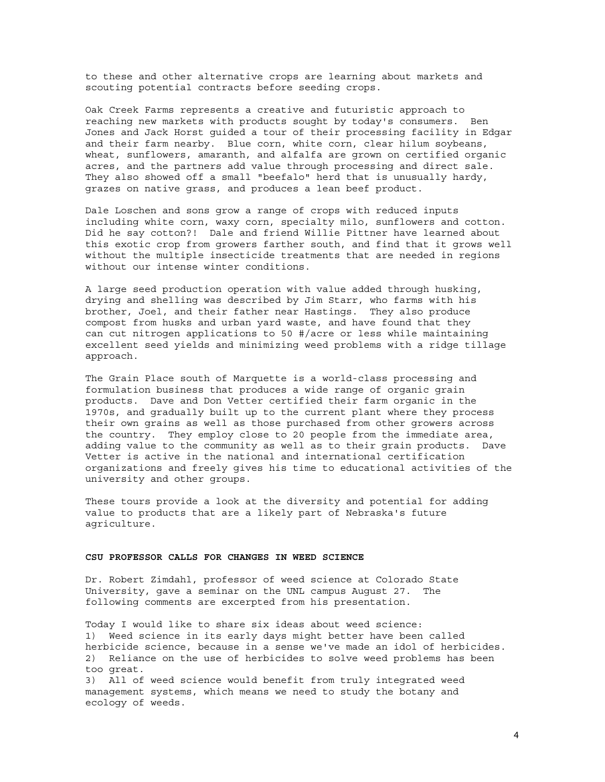to these and other alternative crops are learning about markets and scouting potential contracts before seeding crops.

Oak Creek Farms represents a creative and futuristic approach to reaching new markets with products sought by today's consumers. Ben Jones and Jack Horst guided a tour of their processing facility in Edgar and their farm nearby. Blue corn, white corn, clear hilum soybeans, wheat, sunflowers, amaranth, and alfalfa are grown on certified organic acres, and the partners add value through processing and direct sale. They also showed off a small "beefalo" herd that is unusually hardy, grazes on native grass, and produces a lean beef product.

Dale Loschen and sons grow a range of crops with reduced inputs including white corn, waxy corn, specialty milo, sunflowers and cotton. Did he say cotton?! Dale and friend Willie Pittner have learned about this exotic crop from growers farther south, and find that it grows well without the multiple insecticide treatments that are needed in regions without our intense winter conditions.

A large seed production operation with value added through husking, drying and shelling was described by Jim Starr, who farms with his brother, Joel, and their father near Hastings. They also produce compost from husks and urban yard waste, and have found that they can cut nitrogen applications to 50 #/acre or less while maintaining excellent seed yields and minimizing weed problems with a ridge tillage approach.

The Grain Place south of Marquette is a world-class processing and formulation business that produces a wide range of organic grain products. Dave and Don Vetter certified their farm organic in the 1970s, and gradually built up to the current plant where they process their own grains as well as those purchased from other growers across the country. They employ close to 20 people from the immediate area, adding value to the community as well as to their grain products. Dave Vetter is active in the national and international certification organizations and freely gives his time to educational activities of the university and other groups.

These tours provide a look at the diversity and potential for adding value to products that are a likely part of Nebraska's future agriculture.

## **CSU PROFESSOR CALLS FOR CHANGES IN WEED SCIENCE**

Dr. Robert Zimdahl, professor of weed science at Colorado State University, gave a seminar on the UNL campus August 27. The following comments are excerpted from his presentation.

Today I would like to share six ideas about weed science: 1) Weed science in its early days might better have been called herbicide science, because in a sense we've made an idol of herbicides. 2) Reliance on the use of herbicides to solve weed problems has been too great. 3) All of weed science would benefit from truly integrated weed management systems, which means we need to study the botany and ecology of weeds.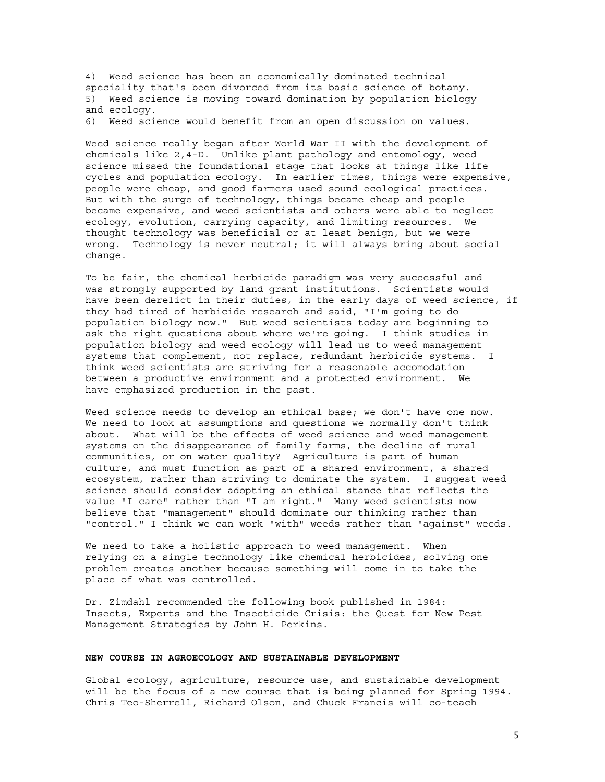4) Weed science has been an economically dominated technical speciality that's been divorced from its basic science of botany. 5) Weed science is moving toward domination by population biology and ecology.

6) Weed science would benefit from an open discussion on values.

Weed science really began after World War II with the development of chemicals like 2,4-D. Unlike plant pathology and entomology, weed science missed the foundational stage that looks at things like life cycles and population ecology. In earlier times, things were expensive, people were cheap, and good farmers used sound ecological practices. But with the surge of technology, things became cheap and people became expensive, and weed scientists and others were able to neglect ecology, evolution, carrying capacity, and limiting resources. We thought technology was beneficial or at least benign, but we were wrong. Technology is never neutral; it will always bring about social change.

To be fair, the chemical herbicide paradigm was very successful and was strongly supported by land grant institutions. Scientists would have been derelict in their duties, in the early days of weed science, if they had tired of herbicide research and said, "I'm going to do population biology now." But weed scientists today are beginning to ask the right questions about where we're going. I think studies in population biology and weed ecology will lead us to weed management systems that complement, not replace, redundant herbicide systems. I think weed scientists are striving for a reasonable accomodation between a productive environment and a protected environment. We have emphasized production in the past.

Weed science needs to develop an ethical base; we don't have one now. We need to look at assumptions and questions we normally don't think about. What will be the effects of weed science and weed management systems on the disappearance of family farms, the decline of rural communities, or on water quality? Agriculture is part of human culture, and must function as part of a shared environment, a shared ecosystem, rather than striving to dominate the system. I suggest weed science should consider adopting an ethical stance that reflects the value "I care" rather than "I am right." Many weed scientists now believe that "management" should dominate our thinking rather than "control." I think we can work "with" weeds rather than "against" weeds.

We need to take a holistic approach to weed management. When relying on a single technology like chemical herbicides, solving one problem creates another because something will come in to take the place of what was controlled.

Dr. Zimdahl recommended the following book published in 1984: Insects, Experts and the Insecticide Crisis: the Quest for New Pest Management Strategies by John H. Perkins.

# **NEW COURSE IN AGROECOLOGY AND SUSTAINABLE DEVELOPMENT**

Global ecology, agriculture, resource use, and sustainable development will be the focus of a new course that is being planned for Spring 1994. Chris Teo-Sherrell, Richard Olson, and Chuck Francis will co-teach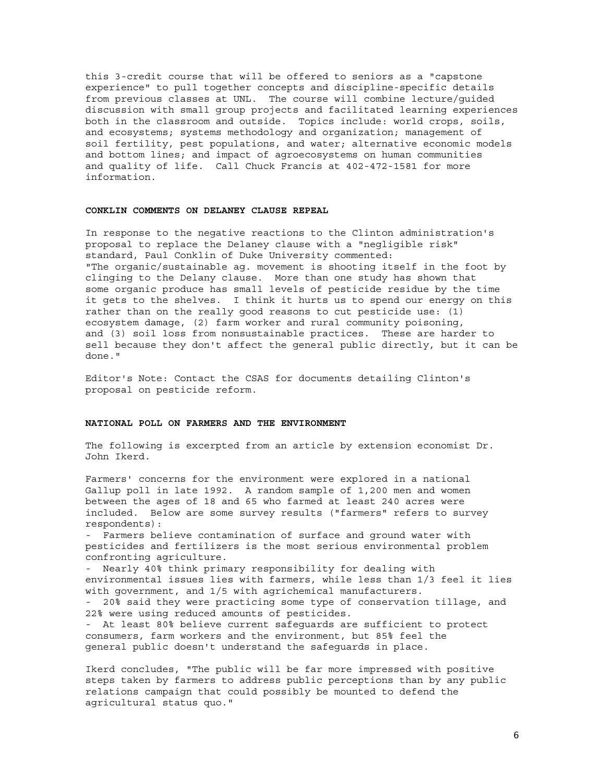this 3-credit course that will be offered to seniors as a "capstone experience" to pull together concepts and discipline-specific details from previous classes at UNL. The course will combine lecture/guided discussion with small group projects and facilitated learning experiences both in the classroom and outside. Topics include: world crops, soils, and ecosystems; systems methodology and organization; management of soil fertility, pest populations, and water; alternative economic models and bottom lines; and impact of agroecosystems on human communities and quality of life. Call Chuck Francis at 402-472-1581 for more information.

#### **CONKLIN COMMENTS ON DELANEY CLAUSE REPEAL**

In response to the negative reactions to the Clinton administration's proposal to replace the Delaney clause with a "negligible risk" standard, Paul Conklin of Duke University commented: "The organic/sustainable ag. movement is shooting itself in the foot by clinging to the Delany clause. More than one study has shown that some organic produce has small levels of pesticide residue by the time it gets to the shelves. I think it hurts us to spend our energy on this rather than on the really good reasons to cut pesticide use: (1) ecosystem damage, (2) farm worker and rural community poisoning, and (3) soil loss from nonsustainable practices. These are harder to sell because they don't affect the general public directly, but it can be done."

Editor's Note: Contact the CSAS for documents detailing Clinton's proposal on pesticide reform.

## **NATIONAL POLL ON FARMERS AND THE ENVIRONMENT**

The following is excerpted from an article by extension economist Dr. John Ikerd.

Farmers' concerns for the environment were explored in a national Gallup poll in late 1992. A random sample of 1,200 men and women between the ages of 18 and 65 who farmed at least 240 acres were included. Below are some survey results ("farmers" refers to survey respondents):

- Farmers believe contamination of surface and ground water with pesticides and fertilizers is the most serious environmental problem confronting agriculture.

- Nearly 40% think primary responsibility for dealing with environmental issues lies with farmers, while less than 1/3 feel it lies with government, and 1/5 with agrichemical manufacturers. - 20% said they were practicing some type of conservation tillage, and 22% were using reduced amounts of pesticides.

- At least 80% believe current safeguards are sufficient to protect consumers, farm workers and the environment, but 85% feel the general public doesn't understand the safeguards in place.

Ikerd concludes, "The public will be far more impressed with positive steps taken by farmers to address public perceptions than by any public relations campaign that could possibly be mounted to defend the agricultural status quo."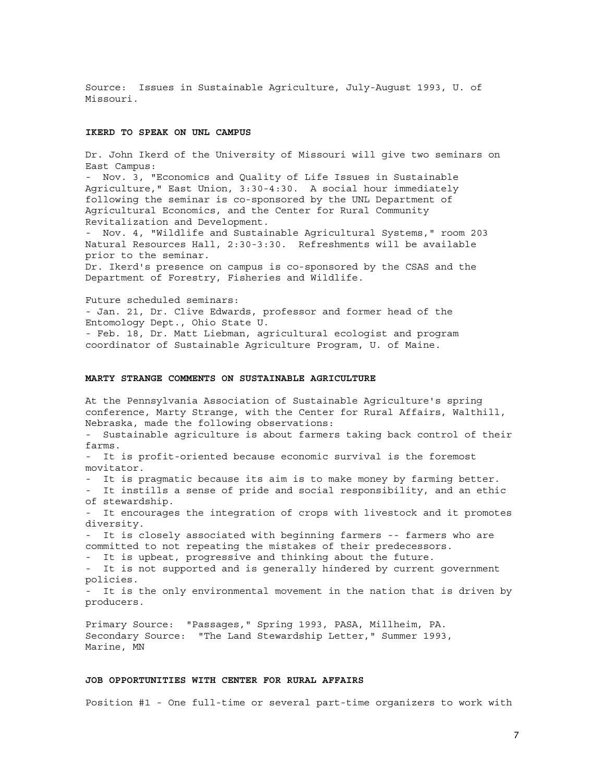Source: Issues in Sustainable Agriculture, July-August 1993, U. of Missouri.

#### **IKERD TO SPEAK ON UNL CAMPUS**

Dr. John Ikerd of the University of Missouri will give two seminars on East Campus:

- Nov. 3, "Economics and Quality of Life Issues in Sustainable Agriculture," East Union, 3:30-4:30. A social hour immediately following the seminar is co-sponsored by the UNL Department of Agricultural Economics, and the Center for Rural Community Revitalization and Development.

- Nov. 4, "Wildlife and Sustainable Agricultural Systems," room 203 Natural Resources Hall, 2:30-3:30. Refreshments will be available prior to the seminar.

Dr. Ikerd's presence on campus is co-sponsored by the CSAS and the Department of Forestry, Fisheries and Wildlife.

Future scheduled seminars: - Jan. 21, Dr. Clive Edwards, professor and former head of the Entomology Dept., Ohio State U. - Feb. 18, Dr. Matt Liebman, agricultural ecologist and program coordinator of Sustainable Agriculture Program, U. of Maine.

#### **MARTY STRANGE COMMENTS ON SUSTAINABLE AGRICULTURE**

At the Pennsylvania Association of Sustainable Agriculture's spring conference, Marty Strange, with the Center for Rural Affairs, Walthill, Nebraska, made the following observations:

- Sustainable agriculture is about farmers taking back control of their farms.

- It is profit-oriented because economic survival is the foremost movitator.

- It is pragmatic because its aim is to make money by farming better.

It instills a sense of pride and social responsibility, and an ethic of stewardship.

- It encourages the integration of crops with livestock and it promotes diversity.

- It is closely associated with beginning farmers -- farmers who are committed to not repeating the mistakes of their predecessors.

- It is upbeat, progressive and thinking about the future.

- It is not supported and is generally hindered by current government policies.

- It is the only environmental movement in the nation that is driven by producers.

Primary Source: "Passages," Spring 1993, PASA, Millheim, PA. Secondary Source: "The Land Stewardship Letter," Summer 1993, Marine, MN

#### **JOB OPPORTUNITIES WITH CENTER FOR RURAL AFFAIRS**

Position #1 - One full-time or several part-time organizers to work with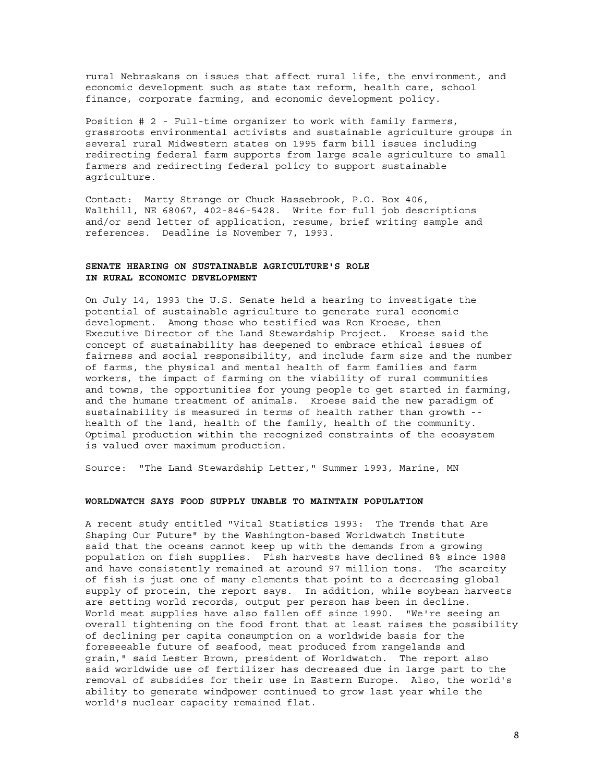rural Nebraskans on issues that affect rural life, the environment, and economic development such as state tax reform, health care, school finance, corporate farming, and economic development policy.

Position # 2 - Full-time organizer to work with family farmers, grassroots environmental activists and sustainable agriculture groups in several rural Midwestern states on 1995 farm bill issues including redirecting federal farm supports from large scale agriculture to small farmers and redirecting federal policy to support sustainable agriculture.

Contact: Marty Strange or Chuck Hassebrook, P.O. Box 406, Walthill, NE 68067, 402-846-5428. Write for full job descriptions and/or send letter of application, resume, brief writing sample and references. Deadline is November 7, 1993.

# **SENATE HEARING ON SUSTAINABLE AGRICULTURE'S ROLE IN RURAL ECONOMIC DEVELOPMENT**

On July 14, 1993 the U.S. Senate held a hearing to investigate the potential of sustainable agriculture to generate rural economic development. Among those who testified was Ron Kroese, then Executive Director of the Land Stewardship Project. Kroese said the concept of sustainability has deepened to embrace ethical issues of fairness and social responsibility, and include farm size and the number of farms, the physical and mental health of farm families and farm workers, the impact of farming on the viability of rural communities and towns, the opportunities for young people to get started in farming, and the humane treatment of animals. Kroese said the new paradigm of sustainability is measured in terms of health rather than growth - health of the land, health of the family, health of the community. Optimal production within the recognized constraints of the ecosystem is valued over maximum production.

Source: "The Land Stewardship Letter," Summer 1993, Marine, MN

# **WORLDWATCH SAYS FOOD SUPPLY UNABLE TO MAINTAIN POPULATION**

A recent study entitled "Vital Statistics 1993: The Trends that Are Shaping Our Future" by the Washington-based Worldwatch Institute said that the oceans cannot keep up with the demands from a growing population on fish supplies. Fish harvests have declined 8% since 1988 and have consistently remained at around 97 million tons. The scarcity of fish is just one of many elements that point to a decreasing global supply of protein, the report says. In addition, while soybean harvests are setting world records, output per person has been in decline. World meat supplies have also fallen off since 1990. "We're seeing an overall tightening on the food front that at least raises the possibility of declining per capita consumption on a worldwide basis for the foreseeable future of seafood, meat produced from rangelands and grain," said Lester Brown, president of Worldwatch. The report also said worldwide use of fertilizer has decreased due in large part to the removal of subsidies for their use in Eastern Europe. Also, the world's ability to generate windpower continued to grow last year while the world's nuclear capacity remained flat.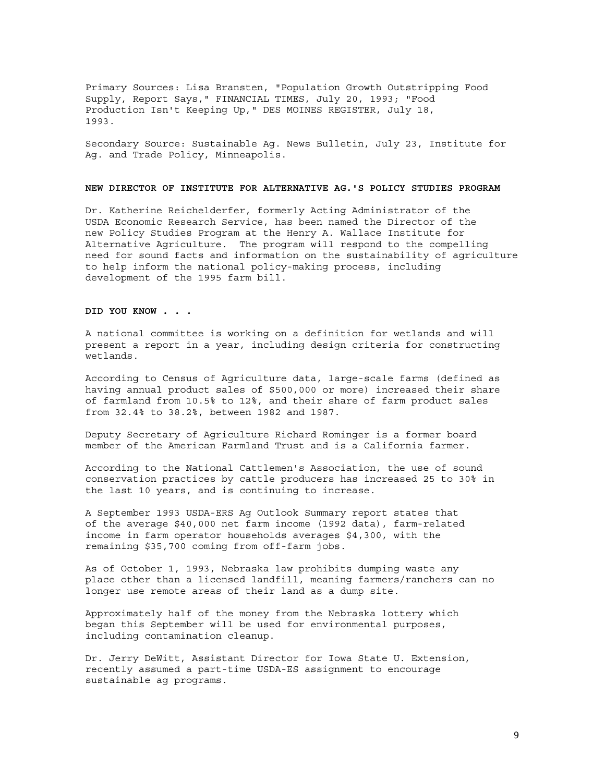Primary Sources: Lisa Bransten, "Population Growth Outstripping Food Supply, Report Says," FINANCIAL TIMES, July 20, 1993; "Food Production Isn't Keeping Up," DES MOINES REGISTER, July 18, 1993.

Secondary Source: Sustainable Ag. News Bulletin, July 23, Institute for Ag. and Trade Policy, Minneapolis.

#### **NEW DIRECTOR OF INSTITUTE FOR ALTERNATIVE AG.'S POLICY STUDIES PROGRAM**

Dr. Katherine Reichelderfer, formerly Acting Administrator of the USDA Economic Research Service, has been named the Director of the new Policy Studies Program at the Henry A. Wallace Institute for Alternative Agriculture. The program will respond to the compelling need for sound facts and information on the sustainability of agriculture to help inform the national policy-making process, including development of the 1995 farm bill.

## **DID YOU KNOW . . .**

A national committee is working on a definition for wetlands and will present a report in a year, including design criteria for constructing wetlands.

According to Census of Agriculture data, large-scale farms (defined as having annual product sales of \$500,000 or more) increased their share of farmland from 10.5% to 12%, and their share of farm product sales from 32.4% to 38.2%, between 1982 and 1987.

Deputy Secretary of Agriculture Richard Rominger is a former board member of the American Farmland Trust and is a California farmer.

According to the National Cattlemen's Association, the use of sound conservation practices by cattle producers has increased 25 to 30% in the last 10 years, and is continuing to increase.

A September 1993 USDA-ERS Ag Outlook Summary report states that of the average \$40,000 net farm income (1992 data), farm-related income in farm operator households averages \$4,300, with the remaining \$35,700 coming from off-farm jobs.

As of October 1, 1993, Nebraska law prohibits dumping waste any place other than a licensed landfill, meaning farmers/ranchers can no longer use remote areas of their land as a dump site.

Approximately half of the money from the Nebraska lottery which began this September will be used for environmental purposes, including contamination cleanup.

Dr. Jerry DeWitt, Assistant Director for Iowa State U. Extension, recently assumed a part-time USDA-ES assignment to encourage sustainable ag programs.